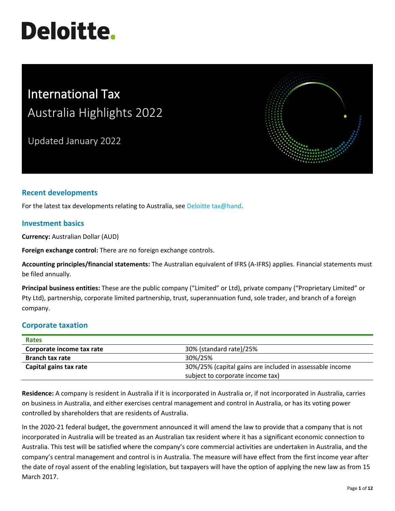# **Deloitte.**

# International Tax Australia Highlights 2022

Updated January 2022



# **Recent developments**

For the latest tax developments relating to Australia, see [Deloitte tax@hand.](https://www.taxathand.com/)

#### **Investment basics**

**Currency:** Australian Dollar (AUD)

**Foreign exchange control:** There are no foreign exchange controls.

**Accounting principles/financial statements:** The Australian equivalent of IFRS (A-IFRS) applies. Financial statements must be filed annually.

**Principal business entities:** These are the public company ("Limited" or Ltd), private company ("Proprietary Limited" or Pty Ltd), partnership, corporate limited partnership, trust, superannuation fund, sole trader, and branch of a foreign company.

#### **Corporate taxation**

| <b>Rates</b>              |                                                          |
|---------------------------|----------------------------------------------------------|
| Corporate income tax rate | 30% (standard rate)/25%                                  |
| <b>Branch tax rate</b>    | 30%/25%                                                  |
| Capital gains tax rate    | 30%/25% (capital gains are included in assessable income |
|                           | subject to corporate income tax)                         |

**Residence:** A company is resident in Australia if it is incorporated in Australia or, if not incorporated in Australia, carries on business in Australia, and either exercises central management and control in Australia, or has its voting power controlled by shareholders that are residents of Australia.

In the 2020-21 federal budget, the government announced it will amend the law to provide that a company that is not incorporated in Australia will be treated as an Australian tax resident where it has a significant economic connection to Australia. This test will be satisfied where the company's core commercial activities are undertaken in Australia, and the company's central management and control is in Australia. The measure will have effect from the first income year after the date of royal assent of the enabling legislation, but taxpayers will have the option of applying the new law as from 15 March 2017.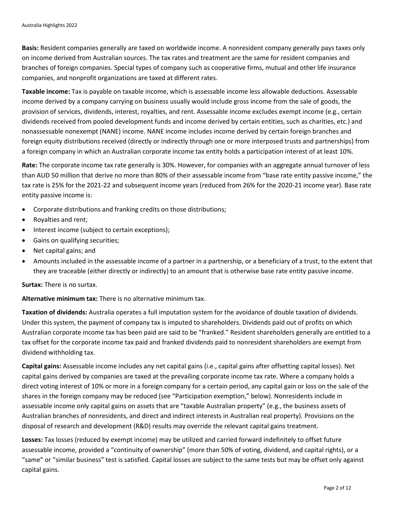**Basis:** Resident companies generally are taxed on worldwide income. A nonresident company generally pays taxes only on income derived from Australian sources. The tax rates and treatment are the same for resident companies and branches of foreign companies. Special types of company such as cooperative firms, mutual and other life insurance companies, and nonprofit organizations are taxed at different rates.

**Taxable income:** Tax is payable on taxable income, which is assessable income less allowable deductions. Assessable income derived by a company carrying on business usually would include gross income from the sale of goods, the provision of services, dividends, interest, royalties, and rent. Assessable income excludes exempt income (e.g., certain dividends received from pooled development funds and income derived by certain entities, such as charities, etc.) and nonassessable nonexempt (NANE) income. NANE income includes income derived by certain foreign branches and foreign equity distributions received (directly or indirectly through one or more interposed trusts and partnerships) from a foreign company in which an Australian corporate income tax entity holds a participation interest of at least 10%.

**Rate:** The corporate income tax rate generally is 30%. However, for companies with an aggregate annual turnover of less than AUD 50 million that derive no more than 80% of their assessable income from "base rate entity passive income," the tax rate is 25% for the 2021-22 and subsequent income years (reduced from 26% for the 2020-21 income year). Base rate entity passive income is:

- Corporate distributions and franking credits on those distributions;
- Royalties and rent;
- Interest income (subject to certain exceptions);
- Gains on qualifying securities;
- Net capital gains; and
- Amounts included in the assessable income of a partner in a partnership, or a beneficiary of a trust, to the extent that they are traceable (either directly or indirectly) to an amount that is otherwise base rate entity passive income.

**Surtax:** There is no surtax.

**Alternative minimum tax:** There is no alternative minimum tax.

**Taxation of dividends:** Australia operates a full imputation system for the avoidance of double taxation of dividends. Under this system, the payment of company tax is imputed to shareholders. Dividends paid out of profits on which Australian corporate income tax has been paid are said to be "franked." Resident shareholders generally are entitled to a tax offset for the corporate income tax paid and franked dividends paid to nonresident shareholders are exempt from dividend withholding tax.

**Capital gains:** Assessable income includes any net capital gains (i.e., capital gains after offsetting capital losses). Net capital gains derived by companies are taxed at the prevailing corporate income tax rate. Where a company holds a direct voting interest of 10% or more in a foreign company for a certain period, any capital gain or loss on the sale of the shares in the foreign company may be reduced (see "Participation exemption," below). Nonresidents include in assessable income only capital gains on assets that are "taxable Australian property" (e.g., the business assets of Australian branches of nonresidents, and direct and indirect interests in Australian real property). Provisions on the disposal of research and development (R&D) results may override the relevant capital gains treatment.

**Losses:** Tax losses (reduced by exempt income) may be utilized and carried forward indefinitely to offset future assessable income, provided a "continuity of ownership" (more than 50% of voting, dividend, and capital rights), or a "same" or "similar business" test is satisfied. Capital losses are subject to the same tests but may be offset only against capital gains.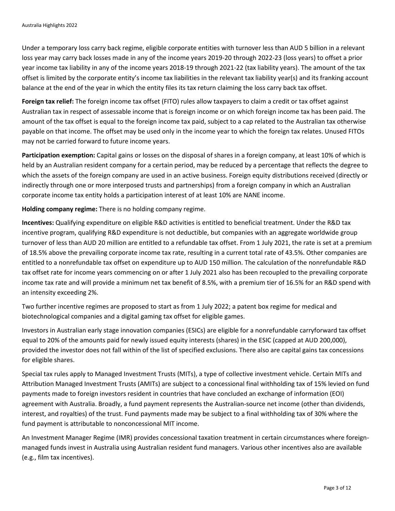Under a temporary loss carry back regime, eligible corporate entities with turnover less than AUD 5 billion in a relevant loss year may carry back losses made in any of the income years 2019-20 through 2022-23 (loss years) to offset a prior year income tax liability in any of the income years 2018-19 through 2021-22 (tax liability years). The amount of the tax offset is limited by the corporate entity's income tax liabilities in the relevant tax liability year(s) and its franking account balance at the end of the year in which the entity files its tax return claiming the loss carry back tax offset.

**Foreign tax relief:** The foreign income tax offset (FITO) rules allow taxpayers to claim a credit or tax offset against Australian tax in respect of assessable income that is foreign income or on which foreign income tax has been paid. The amount of the tax offset is equal to the foreign income tax paid, subject to a cap related to the Australian tax otherwise payable on that income. The offset may be used only in the income year to which the foreign tax relates. Unused FITOs may not be carried forward to future income years.

**Participation exemption:** Capital gains or losses on the disposal of shares in a foreign company, at least 10% of which is held by an Australian resident company for a certain period, may be reduced by a percentage that reflects the degree to which the assets of the foreign company are used in an active business. Foreign equity distributions received (directly or indirectly through one or more interposed trusts and partnerships) from a foreign company in which an Australian corporate income tax entity holds a participation interest of at least 10% are NANE income.

**Holding company regime:** There is no holding company regime.

**Incentives:** Qualifying expenditure on eligible R&D activities is entitled to beneficial treatment. Under the R&D tax incentive program, qualifying R&D expenditure is not deductible, but companies with an aggregate worldwide group turnover of less than AUD 20 million are entitled to a refundable tax offset. From 1 July 2021, the rate is set at a premium of 18.5% above the prevailing corporate income tax rate, resulting in a current total rate of 43.5%. Other companies are entitled to a nonrefundable tax offset on expenditure up to AUD 150 million. The calculation of the nonrefundable R&D tax offset rate for income years commencing on or after 1 July 2021 also has been recoupled to the prevailing corporate income tax rate and will provide a minimum net tax benefit of 8.5%, with a premium tier of 16.5% for an R&D spend with an intensity exceeding 2%.

Two further incentive regimes are proposed to start as from 1 July 2022; a patent box regime for medical and biotechnological companies and a digital gaming tax offset for eligible games.

Investors in Australian early stage innovation companies (ESICs) are eligible for a nonrefundable carryforward tax offset equal to 20% of the amounts paid for newly issued equity interests (shares) in the ESIC (capped at AUD 200,000), provided the investor does not fall within of the list of specified exclusions. There also are capital gains tax concessions for eligible shares.

Special tax rules apply to Managed Investment Trusts (MITs), a type of collective investment vehicle. Certain MITs and Attribution Managed Investment Trusts (AMITs) are subject to a concessional final withholding tax of 15% levied on fund payments made to foreign investors resident in countries that have concluded an exchange of information (EOI) agreement with Australia. Broadly, a fund payment represents the Australian-source net income (other than dividends, interest, and royalties) of the trust. Fund payments made may be subject to a final withholding tax of 30% where the fund payment is attributable to nonconcessional MIT income.

An Investment Manager Regime (IMR) provides concessional taxation treatment in certain circumstances where foreignmanaged funds invest in Australia using Australian resident fund managers. Various other incentives also are available (e.g., film tax incentives).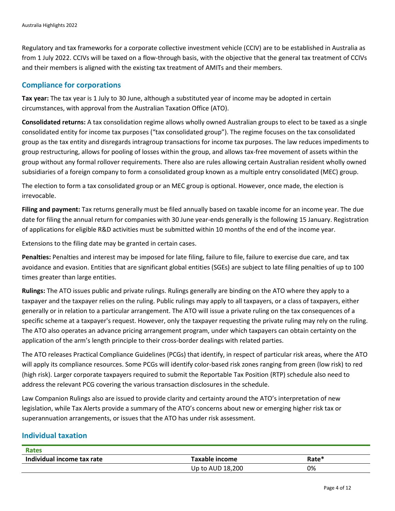Regulatory and tax frameworks for a corporate collective investment vehicle (CCIV) are to be established in Australia as from 1 July 2022. CCIVs will be taxed on a flow-through basis, with the objective that the general tax treatment of CCIVs and their members is aligned with the existing tax treatment of AMITs and their members.

#### **Compliance for corporations**

**Tax year:** The tax year is 1 July to 30 June, although a substituted year of income may be adopted in certain circumstances, with approval from the Australian Taxation Office (ATO).

**Consolidated returns:** A tax consolidation regime allows wholly owned Australian groups to elect to be taxed as a single consolidated entity for income tax purposes ("tax consolidated group"). The regime focuses on the tax consolidated group as the tax entity and disregards intragroup transactions for income tax purposes. The law reduces impediments to group restructuring, allows for pooling of losses within the group, and allows tax-free movement of assets within the group without any formal rollover requirements. There also are rules allowing certain Australian resident wholly owned subsidiaries of a foreign company to form a consolidated group known as a multiple entry consolidated (MEC) group.

The election to form a tax consolidated group or an MEC group is optional. However, once made, the election is irrevocable.

**Filing and payment:** Tax returns generally must be filed annually based on taxable income for an income year. The due date for filing the annual return for companies with 30 June year-ends generally is the following 15 January. Registration of applications for eligible R&D activities must be submitted within 10 months of the end of the income year.

Extensions to the filing date may be granted in certain cases.

**Penalties:** Penalties and interest may be imposed for late filing, failure to file, failure to exercise due care, and tax avoidance and evasion. Entities that are significant global entities (SGEs) are subject to late filing penalties of up to 100 times greater than large entities.

**Rulings:** The ATO issues public and private rulings. Rulings generally are binding on the ATO where they apply to a taxpayer and the taxpayer relies on the ruling. Public rulings may apply to all taxpayers, or a class of taxpayers, either generally or in relation to a particular arrangement. The ATO will issue a private ruling on the tax consequences of a specific scheme at a taxpayer's request. However, only the taxpayer requesting the private ruling may rely on the ruling. The ATO also operates an advance pricing arrangement program, under which taxpayers can obtain certainty on the application of the arm's length principle to their cross-border dealings with related parties.

The ATO releases Practical Compliance Guidelines (PCGs) that identify, in respect of particular risk areas, where the ATO will apply its compliance resources. Some PCGs will identify color-based risk zones ranging from green (low risk) to red (high risk). Larger corporate taxpayers required to submit the Reportable Tax Position (RTP) schedule also need to address the relevant PCG covering the various transaction disclosures in the schedule.

Law Companion Rulings also are issued to provide clarity and certainty around the ATO's interpretation of new legislation, while Tax Alerts provide a summary of the ATO's concerns about new or emerging higher risk tax or superannuation arrangements, or issues that the ATO has under risk assessment.

#### **Individual taxation**

| <b>Rates</b>               |                  |       |
|----------------------------|------------------|-------|
| Individual income tax rate | Taxable income   | Rate* |
|                            | Up to AUD 18,200 | 0%    |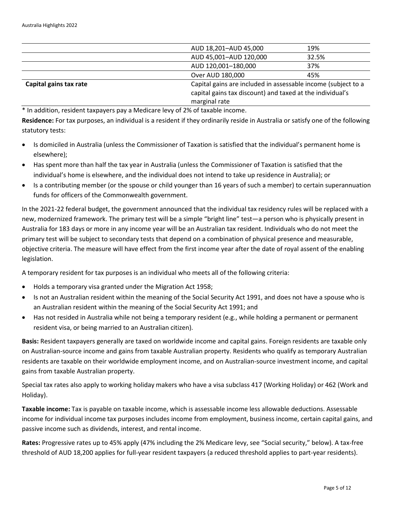|                        | AUD 18,201-AUD 45,000                                         | 19%   |  |
|------------------------|---------------------------------------------------------------|-------|--|
|                        | AUD 45,001-AUD 120,000                                        | 32.5% |  |
|                        | AUD 120,001-180,000                                           | 37%   |  |
|                        | Over AUD 180,000                                              | 45%   |  |
| Capital gains tax rate | Capital gains are included in assessable income (subject to a |       |  |
|                        | capital gains tax discount) and taxed at the individual's     |       |  |
|                        | marginal rate                                                 |       |  |

\* In addition, resident taxpayers pay a Medicare levy of 2% of taxable income.

**Residence:** For tax purposes, an individual is a resident if they ordinarily reside in Australia or satisfy one of the following statutory tests:

- Is domiciled in Australia (unless the Commissioner of Taxation is satisfied that the individual's permanent home is elsewhere);
- Has spent more than half the tax year in Australia (unless the Commissioner of Taxation is satisfied that the individual's home is elsewhere, and the individual does not intend to take up residence in Australia); or
- Is a contributing member (or the spouse or child younger than 16 years of such a member) to certain superannuation funds for officers of the Commonwealth government.

In the 2021-22 federal budget, the government announced that the individual tax residency rules will be replaced with a new, modernized framework. The primary test will be a simple "bright line" test—a person who is physically present in Australia for 183 days or more in any income year will be an Australian tax resident. Individuals who do not meet the primary test will be subject to secondary tests that depend on a combination of physical presence and measurable, objective criteria. The measure will have effect from the first income year after the date of royal assent of the enabling legislation.

A temporary resident for tax purposes is an individual who meets all of the following criteria:

- Holds a temporary visa granted under the Migration Act 1958;
- Is not an Australian resident within the meaning of the Social Security Act 1991, and does not have a spouse who is an Australian resident within the meaning of the Social Security Act 1991; and
- Has not resided in Australia while not being a temporary resident (e.g., while holding a permanent or permanent resident visa, or being married to an Australian citizen).

**Basis:** Resident taxpayers generally are taxed on worldwide income and capital gains. Foreign residents are taxable only on Australian-source income and gains from taxable Australian property. Residents who qualify as temporary Australian residents are taxable on their worldwide employment income, and on Australian-source investment income, and capital gains from taxable Australian property.

Special tax rates also apply to working holiday makers who have a visa subclass 417 (Working Holiday) or 462 (Work and Holiday).

**Taxable income:** Tax is payable on taxable income, which is assessable income less allowable deductions. Assessable income for individual income tax purposes includes income from employment, business income, certain capital gains, and passive income such as dividends, interest, and rental income.

**Rates:** Progressive rates up to 45% apply (47% including the 2% Medicare levy, see "Social security," below). A tax-free threshold of AUD 18,200 applies for full-year resident taxpayers (a reduced threshold applies to part-year residents).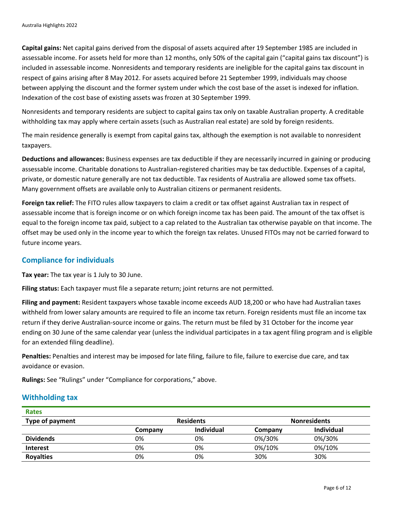**Capital gains:** Net capital gains derived from the disposal of assets acquired after 19 September 1985 are included in assessable income. For assets held for more than 12 months, only 50% of the capital gain ("capital gains tax discount") is included in assessable income. Nonresidents and temporary residents are ineligible for the capital gains tax discount in respect of gains arising after 8 May 2012. For assets acquired before 21 September 1999, individuals may choose between applying the discount and the former system under which the cost base of the asset is indexed for inflation. Indexation of the cost base of existing assets was frozen at 30 September 1999.

Nonresidents and temporary residents are subject to capital gains tax only on taxable Australian property. A creditable withholding tax may apply where certain assets (such as Australian real estate) are sold by foreign residents.

The main residence generally is exempt from capital gains tax, although the exemption is not available to nonresident taxpayers.

**Deductions and allowances:** Business expenses are tax deductible if they are necessarily incurred in gaining or producing assessable income. Charitable donations to Australian-registered charities may be tax deductible. Expenses of a capital, private, or domestic nature generally are not tax deductible. Tax residents of Australia are allowed some tax offsets. Many government offsets are available only to Australian citizens or permanent residents.

**Foreign tax relief:** The FITO rules allow taxpayers to claim a credit or tax offset against Australian tax in respect of assessable income that is foreign income or on which foreign income tax has been paid. The amount of the tax offset is equal to the foreign income tax paid, subject to a cap related to the Australian tax otherwise payable on that income. The offset may be used only in the income year to which the foreign tax relates. Unused FITOs may not be carried forward to future income years.

### **Compliance for individuals**

**Tax year:** The tax year is 1 July to 30 June.

**Filing status:** Each taxpayer must file a separate return; joint returns are not permitted.

**Filing and payment:** Resident taxpayers whose taxable income exceeds AUD 18,200 or who have had Australian taxes withheld from lower salary amounts are required to file an income tax return. Foreign residents must file an income tax return if they derive Australian-source income or gains. The return must be filed by 31 October for the income year ending on 30 June of the same calendar year (unless the individual participates in a tax agent filing program and is eligible for an extended filing deadline).

**Penalties:** Penalties and interest may be imposed for late filing, failure to file, failure to exercise due care, and tax avoidance or evasion.

**Rulings:** See "Rulings" under "Compliance for corporations," above.

#### **Withholding tax**

| <b>Rates</b>     |                  |            |                     |            |
|------------------|------------------|------------|---------------------|------------|
| Type of payment  | <b>Residents</b> |            | <b>Nonresidents</b> |            |
|                  | Company          | Individual | Company             | Individual |
| <b>Dividends</b> | 0%               | 0%         | 0%/30%              | 0%/30%     |
| <b>Interest</b>  | 0%               | 0%         | 0%/10%              | 0%/10%     |
| <b>Royalties</b> | 0%               | 0%         | 30%                 | 30%        |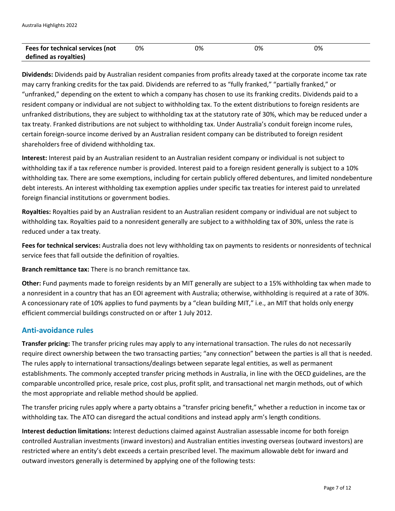| Fees for technical services (not | 0% | 0% | 0% | 0% |
|----------------------------------|----|----|----|----|
| defined as royalties)            |    |    |    |    |

**Dividends:** Dividends paid by Australian resident companies from profits already taxed at the corporate income tax rate may carry franking credits for the tax paid. Dividends are referred to as "fully franked," "partially franked," or "unfranked," depending on the extent to which a company has chosen to use its franking credits. Dividends paid to a resident company or individual are not subject to withholding tax. To the extent distributions to foreign residents are unfranked distributions, they are subject to withholding tax at the statutory rate of 30%, which may be reduced under a tax treaty. Franked distributions are not subject to withholding tax. Under Australia's conduit foreign income rules, certain foreign-source income derived by an Australian resident company can be distributed to foreign resident shareholders free of dividend withholding tax.

**Interest:** Interest paid by an Australian resident to an Australian resident company or individual is not subject to withholding tax if a tax reference number is provided. Interest paid to a foreign resident generally is subject to a 10% withholding tax. There are some exemptions, including for certain publicly offered debentures, and limited nondebenture debt interests. An interest withholding tax exemption applies under specific tax treaties for interest paid to unrelated foreign financial institutions or government bodies.

**Royalties:** Royalties paid by an Australian resident to an Australian resident company or individual are not subject to withholding tax. Royalties paid to a nonresident generally are subject to a withholding tax of 30%, unless the rate is reduced under a tax treaty.

**Fees for technical services:** Australia does not levy withholding tax on payments to residents or nonresidents of technical service fees that fall outside the definition of royalties.

**Branch remittance tax:** There is no branch remittance tax.

**Other:** Fund payments made to foreign residents by an MIT generally are subject to a 15% withholding tax when made to a nonresident in a country that has an EOI agreement with Australia; otherwise, withholding is required at a rate of 30%. A concessionary rate of 10% applies to fund payments by a "clean building MIT," i.e., an MIT that holds only energy efficient commercial buildings constructed on or after 1 July 2012.

## **Anti-avoidance rules**

**Transfer pricing:** The transfer pricing rules may apply to any international transaction. The rules do not necessarily require direct ownership between the two transacting parties; "any connection" between the parties is all that is needed. The rules apply to international transactions/dealings between separate legal entities, as well as permanent establishments. The commonly accepted transfer pricing methods in Australia, in line with the OECD guidelines, are the comparable uncontrolled price, resale price, cost plus, profit split, and transactional net margin methods, out of which the most appropriate and reliable method should be applied.

The transfer pricing rules apply where a party obtains a "transfer pricing benefit," whether a reduction in income tax or withholding tax. The ATO can disregard the actual conditions and instead apply arm's length conditions.

**Interest deduction limitations:** Interest deductions claimed against Australian assessable income for both foreign controlled Australian investments (inward investors) and Australian entities investing overseas (outward investors) are restricted where an entity's debt exceeds a certain prescribed level. The maximum allowable debt for inward and outward investors generally is determined by applying one of the following tests: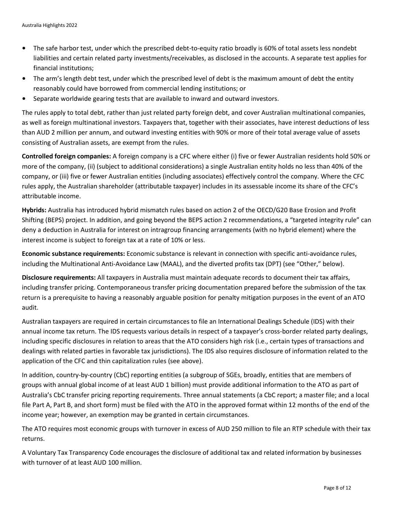- The safe harbor test, under which the prescribed debt-to-equity ratio broadly is 60% of total assets less nondebt liabilities and certain related party investments/receivables, as disclosed in the accounts. A separate test applies for financial institutions;
- The arm's length debt test, under which the prescribed level of debt is the maximum amount of debt the entity reasonably could have borrowed from commercial lending institutions; or
- Separate worldwide gearing tests that are available to inward and outward investors.

The rules apply to total debt, rather than just related party foreign debt, and cover Australian multinational companies, as well as foreign multinational investors. Taxpayers that, together with their associates, have interest deductions of less than AUD 2 million per annum, and outward investing entities with 90% or more of their total average value of assets consisting of Australian assets, are exempt from the rules.

**Controlled foreign companies:** A foreign company is a CFC where either (i) five or fewer Australian residents hold 50% or more of the company, (ii) (subject to additional considerations) a single Australian entity holds no less than 40% of the company, or (iii) five or fewer Australian entities (including associates) effectively control the company. Where the CFC rules apply, the Australian shareholder (attributable taxpayer) includes in its assessable income its share of the CFC's attributable income.

**Hybrids:** Australia has introduced hybrid mismatch rules based on action 2 of the OECD/G20 Base Erosion and Profit Shifting (BEPS) project. In addition, and going beyond the BEPS action 2 recommendations, a "targeted integrity rule" can deny a deduction in Australia for interest on intragroup financing arrangements (with no hybrid element) where the interest income is subject to foreign tax at a rate of 10% or less.

**Economic substance requirements:** Economic substance is relevant in connection with specific anti-avoidance rules, including the Multinational Anti-Avoidance Law (MAAL), and the diverted profits tax (DPT) (see "Other," below).

**Disclosure requirements:** All taxpayers in Australia must maintain adequate records to document their tax affairs, including transfer pricing. Contemporaneous transfer pricing documentation prepared before the submission of the tax return is a prerequisite to having a reasonably arguable position for penalty mitigation purposes in the event of an ATO audit.

Australian taxpayers are required in certain circumstances to file an International Dealings Schedule (IDS) with their annual income tax return. The IDS requests various details in respect of a taxpayer's cross-border related party dealings, including specific disclosures in relation to areas that the ATO considers high risk (i.e., certain types of transactions and dealings with related parties in favorable tax jurisdictions). The IDS also requires disclosure of information related to the application of the CFC and thin capitalization rules (see above).

In addition, country-by-country (CbC) reporting entities (a subgroup of SGEs, broadly, entities that are members of groups with annual global income of at least AUD 1 billion) must provide additional information to the ATO as part of Australia's CbC transfer pricing reporting requirements. Three annual statements (a CbC report; a master file; and a local file Part A, Part B, and short form) must be filed with the ATO in the approved format within 12 months of the end of the income year; however, an exemption may be granted in certain circumstances.

The ATO requires most economic groups with turnover in excess of AUD 250 million to file an RTP schedule with their tax returns.

A Voluntary Tax Transparency Code encourages the disclosure of additional tax and related information by businesses with turnover of at least AUD 100 million.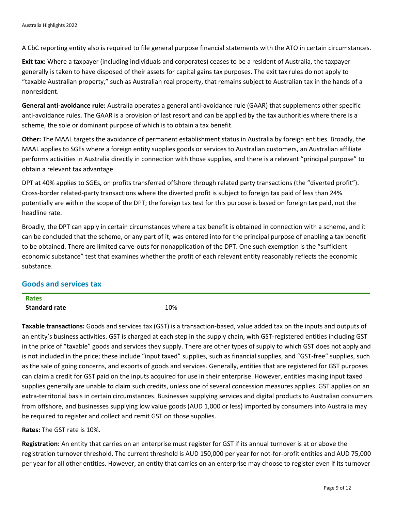A CbC reporting entity also is required to file general purpose financial statements with the ATO in certain circumstances.

**Exit tax:** Where a taxpayer (including individuals and corporates) ceases to be a resident of Australia, the taxpayer generally is taken to have disposed of their assets for capital gains tax purposes. The exit tax rules do not apply to "taxable Australian property," such as Australian real property, that remains subject to Australian tax in the hands of a nonresident.

**General anti-avoidance rule:** Australia operates a general anti-avoidance rule (GAAR) that supplements other specific anti-avoidance rules. The GAAR is a provision of last resort and can be applied by the tax authorities where there is a scheme, the sole or dominant purpose of which is to obtain a tax benefit.

**Other:** The MAAL targets the avoidance of permanent establishment status in Australia by foreign entities. Broadly, the MAAL applies to SGEs where a foreign entity supplies goods or services to Australian customers, an Australian affiliate performs activities in Australia directly in connection with those supplies, and there is a relevant "principal purpose" to obtain a relevant tax advantage.

DPT at 40% applies to SGEs, on profits transferred offshore through related party transactions (the "diverted profit"). Cross-border related-party transactions where the diverted profit is subject to foreign tax paid of less than 24% potentially are within the scope of the DPT; the foreign tax test for this purpose is based on foreign tax paid, not the headline rate.

Broadly, the DPT can apply in certain circumstances where a tax benefit is obtained in connection with a scheme, and it can be concluded that the scheme, or any part of it, was entered into for the principal purpose of enabling a tax benefit to be obtained. There are limited carve-outs for nonapplication of the DPT. One such exemption is the "sufficient economic substance" test that examines whether the profit of each relevant entity reasonably reflects the economic substance.

#### **Goods and services tax**

| $P_{\text{max}}$<br>эте<br>$- - -$ | 10% |
|------------------------------------|-----|

**Taxable transactions:** Goods and services tax (GST) is a transaction-based, value added tax on the inputs and outputs of an entity's business activities. GST is charged at each step in the supply chain, with GST-registered entities including GST in the price of "taxable" goods and services they supply. There are other types of supply to which GST does not apply and is not included in the price; these include "input taxed" supplies, such as financial supplies, and "GST-free" supplies, such as the sale of going concerns, and exports of goods and services. Generally, entities that are registered for GST purposes can claim a credit for GST paid on the inputs acquired for use in their enterprise. However, entities making input taxed supplies generally are unable to claim such credits, unless one of several concession measures applies. GST applies on an extra-territorial basis in certain circumstances. Businesses supplying services and digital products to Australian consumers from offshore, and businesses supplying low value goods (AUD 1,000 or less) imported by consumers into Australia may be required to register and collect and remit GST on those supplies.

**Rates:** The GST rate is 10%.

**Registration:** An entity that carries on an enterprise must register for GST if its annual turnover is at or above the registration turnover threshold. The current threshold is AUD 150,000 per year for not-for-profit entities and AUD 75,000 per year for all other entities. However, an entity that carries on an enterprise may choose to register even if its turnover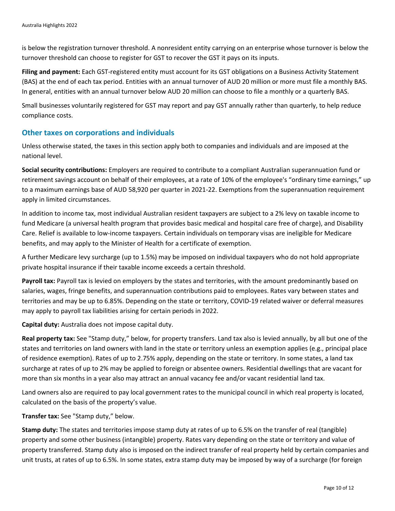is below the registration turnover threshold. A nonresident entity carrying on an enterprise whose turnover is below the turnover threshold can choose to register for GST to recover the GST it pays on its inputs.

**Filing and payment:** Each GST-registered entity must account for its GST obligations on a Business Activity Statement (BAS) at the end of each tax period. Entities with an annual turnover of AUD 20 million or more must file a monthly BAS. In general, entities with an annual turnover below AUD 20 million can choose to file a monthly or a quarterly BAS.

Small businesses voluntarily registered for GST may report and pay GST annually rather than quarterly, to help reduce compliance costs.

#### **Other taxes on corporations and individuals**

Unless otherwise stated, the taxes in this section apply both to companies and individuals and are imposed at the national level.

**Social security contributions:** Employers are required to contribute to a compliant Australian superannuation fund or retirement savings account on behalf of their employees, at a rate of 10% of the employee's "ordinary time earnings," up to a maximum earnings base of AUD 58,920 per quarter in 2021-22. Exemptions from the superannuation requirement apply in limited circumstances.

In addition to income tax, most individual Australian resident taxpayers are subject to a 2% levy on taxable income to fund Medicare (a universal health program that provides basic medical and hospital care free of charge), and Disability Care. Relief is available to low-income taxpayers. Certain individuals on temporary visas are ineligible for Medicare benefits, and may apply to the Minister of Health for a certificate of exemption.

A further Medicare levy surcharge (up to 1.5%) may be imposed on individual taxpayers who do not hold appropriate private hospital insurance if their taxable income exceeds a certain threshold.

**Payroll tax:** Payroll tax is levied on employers by the states and territories, with the amount predominantly based on salaries, wages, fringe benefits, and superannuation contributions paid to employees. Rates vary between states and territories and may be up to 6.85%. Depending on the state or territory, COVID-19 related waiver or deferral measures may apply to payroll tax liabilities arising for certain periods in 2022.

**Capital duty:** Australia does not impose capital duty.

**Real property tax:** See "Stamp duty," below, for property transfers. Land tax also is levied annually, by all but one of the states and territories on land owners with land in the state or territory unless an exemption applies (e.g., principal place of residence exemption). Rates of up to 2.75% apply, depending on the state or territory. In some states, a land tax surcharge at rates of up to 2% may be applied to foreign or absentee owners. Residential dwellings that are vacant for more than six months in a year also may attract an annual vacancy fee and/or vacant residential land tax.

Land owners also are required to pay local government rates to the municipal council in which real property is located, calculated on the basis of the property's value.

**Transfer tax:** See "Stamp duty," below.

**Stamp duty:** The states and territories impose stamp duty at rates of up to 6.5% on the transfer of real (tangible) property and some other business (intangible) property. Rates vary depending on the state or territory and value of property transferred. Stamp duty also is imposed on the indirect transfer of real property held by certain companies and unit trusts, at rates of up to 6.5%. In some states, extra stamp duty may be imposed by way of a surcharge (for foreign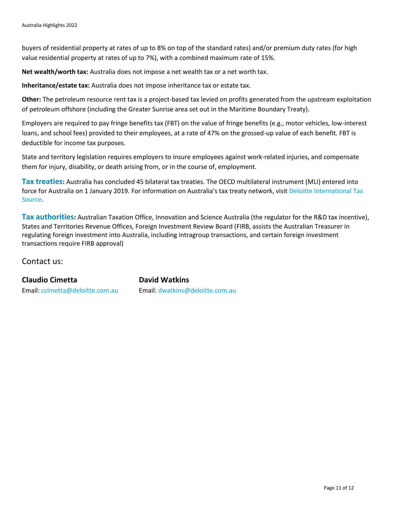buyers of residential property at rates of up to 8% on top of the standard rates) and/or premium duty rates (for high value residential property at rates of up to 7%), with a combined maximum rate of 15%.

**Net wealth/worth tax:** Australia does not impose a net wealth tax or a net worth tax.

**Inheritance/estate tax:** Australia does not impose inheritance tax or estate tax.

**Other:** The petroleum resource rent tax is a project-based tax levied on profits generated from the upstream exploitation of petroleum offshore (including the Greater Sunrise area set out in the Maritime Boundary Treaty).

Employers are required to pay fringe benefits tax (FBT) on the value of fringe benefits (e.g., motor vehicles, low-interest loans, and school fees) provided to their employees, at a rate of 47% on the grossed-up value of each benefit. FBT is deductible for income tax purposes.

State and territory legislation requires employers to insure employees against work-related injuries, and compensate them for injury, disability, or death arising from, or in the course of, employment.

**Tax treaties:** Australia has concluded 45 bilateral tax treaties. The OECD multilateral instrument (MLI) entered into force for Australia on 1 January 2019. For information on Australia's tax treaty network, visit [Deloitte International Tax](https://dits.deloitte.com/#Jurisdiction/21)  [Source.](https://dits.deloitte.com/#Jurisdiction/21)

**Tax authorities:** Australian Taxation Office, Innovation and Science Australia (the regulator for the R&D tax incentive), States and Territories Revenue Offices, Foreign Investment Review Board (FIRB, assists the Australian Treasurer in regulating foreign investment into Australia, including intragroup transactions, and certain foreign investment transactions require FIRB approval)

Contact us:

**Claudio Cimetta David Watkins** 

Email: [ccimetta@deloitte.com.au](mailto:ccimetta@deloitte.com.au) Email: [dwatkins@deloitte.com.au](mailto:dwatkins@deloitte.com.au)